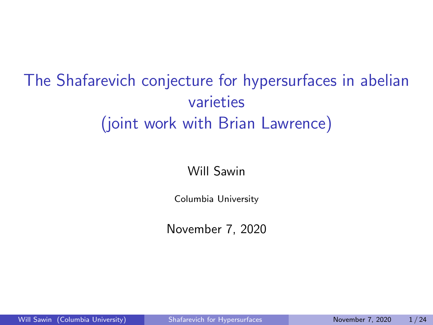# <span id="page-0-0"></span>The Shafarevich conjecture for hypersurfaces in abelian varieties (joint work with Brian Lawrence)

#### Will Sawin

Columbia University

November 7, 2020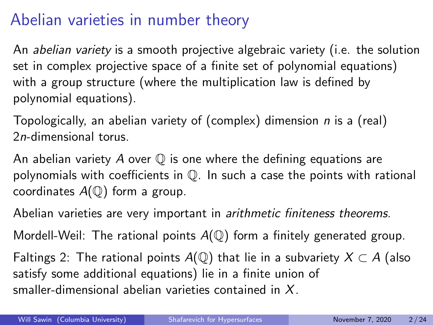### Abelian varieties in number theory

An abelian variety is a smooth projective algebraic variety (i.e. the solution set in complex projective space of a finite set of polynomial equations) with a group structure (where the multiplication law is defined by polynomial equations).

Topologically, an abelian variety of (complex) dimension n is a (real) 2n-dimensional torus.

An abelian variety A over  $\mathbb Q$  is one where the defining equations are polynomials with coefficients in Q. In such a case the points with rational coordinates  $A(\mathbb{Q})$  form a group.

Abelian varieties are very important in arithmetic finiteness theorems.

Mordell-Weil: The rational points  $A(\mathbb{Q})$  form a finitely generated group.

Faltings 2: The rational points  $A(\mathbb{Q})$  that lie in a subvariety  $X \subset A$  (also satisfy some additional equations) lie in a finite union of smaller-dimensional abelian varieties contained in X.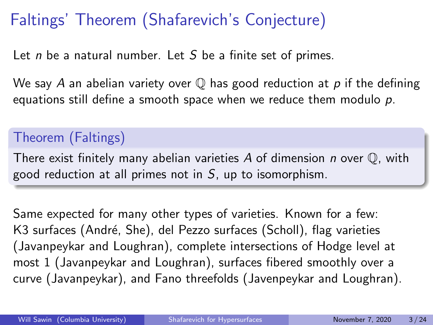# Faltings' Theorem (Shafarevich's Conjecture)

Let  $n$  be a natural number. Let  $S$  be a finite set of primes.

We say A an abelian variety over  $\mathbb Q$  has good reduction at p if the defining equations still define a smooth space when we reduce them modulo  $p$ .

#### Theorem (Faltings)

There exist finitely many abelian varieties A of dimension  $n$  over  $\mathbb Q$ , with good reduction at all primes not in  $S$ , up to isomorphism.

Same expected for many other types of varieties. Known for a few: K3 surfaces (André, She), del Pezzo surfaces (Scholl), flag varieties (Javanpeykar and Loughran), complete intersections of Hodge level at most 1 (Javanpeykar and Loughran), surfaces fibered smoothly over a curve (Javanpeykar), and Fano threefolds (Javenpeykar and Loughran).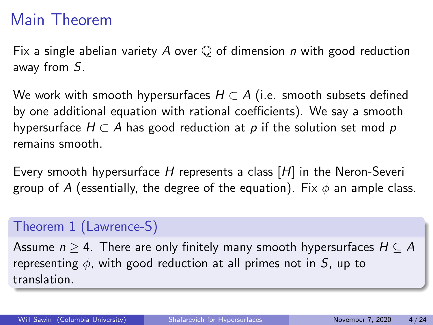## Main Theorem

Fix a single abelian variety A over  $\mathbb O$  of dimension n with good reduction away from S.

We work with smooth hypersurfaces  $H \subset A$  (i.e. smooth subsets defined by one additional equation with rational coefficients). We say a smooth hypersurface  $H \subset A$  has good reduction at p if the solution set mod p remains smooth.

Every smooth hypersurface H represents a class [H] in the Neron-Severi group of A (essentially, the degree of the equation). Fix  $\phi$  an ample class.

#### Theorem 1 (Lawrence-S)

Assume  $n \geq 4$ . There are only finitely many smooth hypersurfaces  $H \subseteq A$ representing  $\phi$ , with good reduction at all primes not in S, up to translation.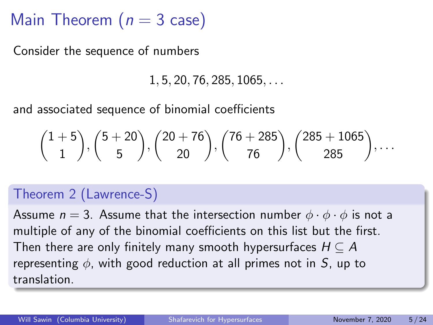Main Theorem ( $n = 3$  case)

Consider the sequence of numbers

 $1, 5, 20, 76, 285, 1065, \ldots$ 

and associated sequence of binomial coefficients

$$
\binom{1+5}{1},\binom{5+20}{5},\binom{20+76}{20},\binom{76+285}{76},\binom{285+1065}{285},\ldots
$$

#### Theorem 2 (Lawrence-S)

Assume  $n = 3$ . Assume that the intersection number  $\phi \cdot \phi \cdot \phi$  is not a multiple of any of the binomial coefficients on this list but the first. Then there are only finitely many smooth hypersurfaces  $H \subseteq A$ representing  $\phi$ , with good reduction at all primes not in S, up to translation.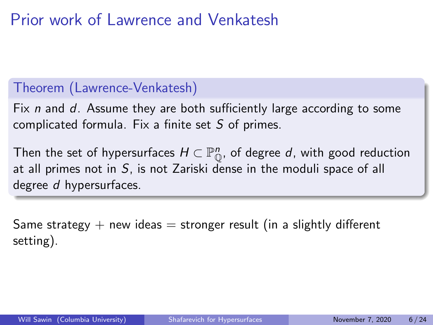## Prior work of Lawrence and Venkatesh

#### Theorem (Lawrence-Venkatesh)

Fix n and  $d$ . Assume they are both sufficiently large according to some complicated formula. Fix a finite set S of primes.

Then the set of hypersurfaces  $H\subset \mathbb{P}^n_\mathbb{O}$ , of degree  $d$ , with good reduction at all primes not in S, is not Zariski dense in the moduli space of all degree d hypersurfaces.

Same strategy  $+$  new ideas  $=$  stronger result (in a slightly different setting).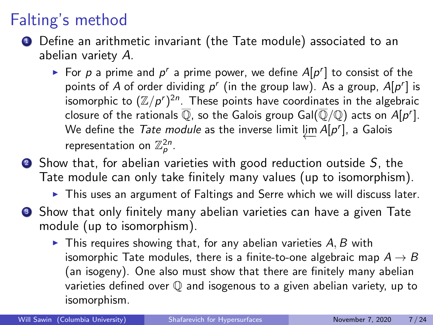## Falting's method

- **4** Define an arithmetic invariant (the Tate module) associated to an abelian variety A.
	- For p a prime and  $p^r$  a prime power, we define  $A[p^r]$  to consist of the points of A of order dividing  $p^r$  (in the group law). As a group,  $A[p^r]$  is isomorphic to  $(\mathbb{Z}/p^r)^{2n}$ . These points have coordinates in the algebraic closure of the rationals  $\overline{\mathbb{Q}}$ , so the Galois group Gal( $\overline{\mathbb{Q}}/\mathbb{Q}$ ) acts on  $A[p^r].$ We define the *Tate module* as the inverse limit  $\varprojlim A[p^r]$ , a Galois representation on  $\mathbb{Z}_p^{2n}$ .
- $\bullet$  Show that, for abelian varieties with good reduction outside S, the Tate module can only take finitely many values (up to isomorphism).
	- $\triangleright$  This uses an argument of Faltings and Serre which we will discuss later.
- **3** Show that only finitely many abelian varieties can have a given Tate module (up to isomorphism).
	- $\blacktriangleright$  This requires showing that, for any abelian varieties  $A, B$  with isomorphic Tate modules, there is a finite-to-one algebraic map  $A \rightarrow B$ (an isogeny). One also must show that there are finitely many abelian varieties defined over Q and isogenous to a given abelian variety, up to isomorphism.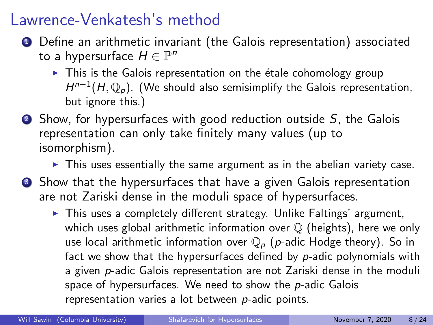#### Lawrence-Venkatesh's method

- **1** Define an arithmetic invariant (the Galois representation) associated to a hypersurface  $H \in \mathbb{P}^n$ 
	- $\triangleright$  This is the Galois representation on the étale cohomology group  $H^{n-1}(H,\mathbb{Q}_p)$ . (We should also semisimplify the Galois representation, but ignore this.)
- $\bullet$  Show, for hypersurfaces with good reduction outside  $S$ , the Galois representation can only take finitely many values (up to isomorphism).
	- $\triangleright$  This uses essentially the same argument as in the abelian variety case.
- **3** Show that the hypersurfaces that have a given Galois representation are not Zariski dense in the moduli space of hypersurfaces.
	- $\triangleright$  This uses a completely different strategy. Unlike Faltings' argument, which uses global arithmetic information over  $\mathbb Q$  (heights), here we only use local arithmetic information over  $\mathbb{Q}_p$  (p-adic Hodge theory). So in fact we show that the hypersurfaces defined by  $p$ -adic polynomials with a given p-adic Galois representation are not Zariski dense in the moduli space of hypersurfaces. We need to show the  $p$ -adic Galois representation varies a lot between p-adic points.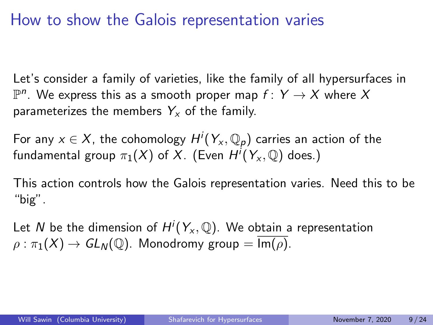### How to show the Galois representation varies

Let's consider a family of varieties, like the family of all hypersurfaces in  $\mathbb{P}^n$ . We express this as a smooth proper map  $f\colon Y\to X$  where  $X$ parameterizes the members  $Y_x$  of the family.

For any  $x\in X$ , the cohomology  $H^i(Y_\chi,{\mathbb Q}_p)$  carries an action of the fundamental group  $\pi_1(X)$  of  $X.$  (Even  $H^i(Y_\mathsf{x},\mathbb{Q})$  does.)

This action controls how the Galois representation varies. Need this to be "big".

Let  $N$  be the dimension of  $H^i(Y_\mathsf{x},\mathbb{Q}).$  We obtain a representation  $\rho : \pi_1(X) \to GL_N(\mathbb{Q})$ . Monodromy group =  $\overline{\text{Im}(\rho)}$ .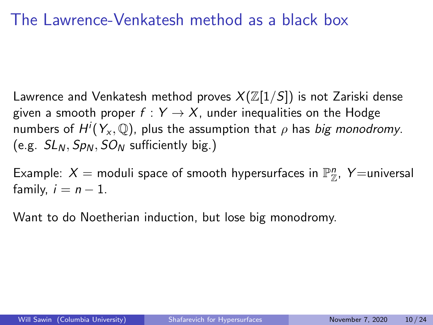#### The Lawrence-Venkatesh method as a black box

Lawrence and Venkatesh method proves  $X(\mathbb{Z}[1/S])$  is not Zariski dense given a smooth proper  $f: Y \rightarrow X$ , under inequalities on the Hodge numbers of  $H^i(Y_{\mathsf{x}},\mathbb{Q})$ , plus the assumption that  $\rho$  has *big monodromy*. (e.g.  $SL_N$ ,  $Sp_N$ ,  $SO_N$  sufficiently big.)

Example:  $X =$  moduli space of smooth hypersurfaces in  $\mathbb{P}_{\mathbb{Z}}^n$ , Y=universal family,  $i = n - 1$ .

Want to do Noetherian induction, but lose big monodromy.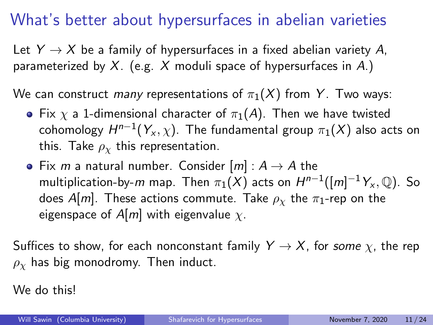## What's better about hypersurfaces in abelian varieties

Let  $Y \rightarrow X$  be a family of hypersurfaces in a fixed abelian variety A, parameterized by  $X$ . (e.g. X moduli space of hypersurfaces in A.)

We can construct many representations of  $\pi_1(X)$  from Y. Two ways:

- Fix  $\chi$  a 1-dimensional character of  $\pi_1(A)$ . Then we have twisted cohomology  $H^{n-1}(Y_{\mathsf{x}},\chi)$ . The fundamental group  $\pi_1(X)$  also acts on this. Take  $\rho_{\chi}$  this representation.
- Fix m a natural number. Consider  $[m]: A \rightarrow A$  the multiplication-by- $m$  map. Then  $\pi_1(X)$  acts on  $H^{n-1}([m]^{-1}Y_\mathsf{x},\mathbb{Q})$ . So does A[m]. These actions commute. Take  $\rho_{\chi}$  the  $\pi_1$ -rep on the eigenspace of  $A[m]$  with eigenvalue  $\chi$ .

Suffices to show, for each nonconstant family  $Y \to X$ , for some  $\chi$ , the rep  $\rho_{\rm y}$  has big monodromy. Then induct.

We do this!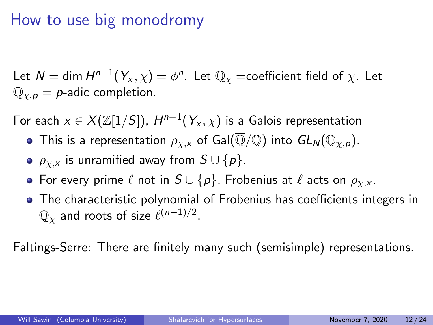#### How to use big monodromy

Let  $\mathcal{N}=$  dim  $H^{n-1}(Y_\mathsf{x},\chi)=\phi^n.$  Let  $\mathbb{Q}_\chi$  =coefficient field of  $\chi.$  Let  $\mathbb{Q}_{\chi,p} = p$ -adic completion.

For each  $x \in X(\mathbb{Z}[1/S])$ ,  $H^{n-1}(Y_x, \chi)$  is a Galois representation

- This is a representation  $\rho_{\chi,x}$  of Gal( $\overline{\mathbb{Q}}/\mathbb{Q}$ ) into  $GL_N(\mathbb{Q}_{\chi,p})$ .
- $\rho_{\chi,x}$  is unramified away from  $S \cup \{p\}.$
- For every prime  $\ell$  not in  $S \cup \{p\}$ , Frobenius at  $\ell$  acts on  $\rho_{Y,X}$ .
- The characteristic polynomial of Frobenius has coefficients integers in  $\mathbb{Q}_{\chi}$  and roots of size  $\ell^{(n-1)/2}.$

Faltings-Serre: There are finitely many such (semisimple) representations.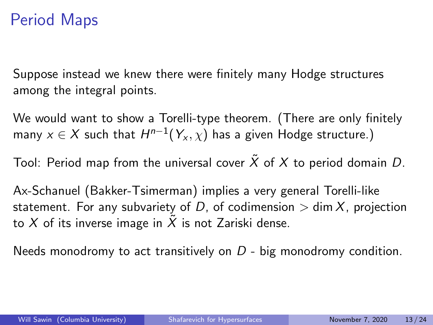### Period Maps

Suppose instead we knew there were finitely many Hodge structures among the integral points.

We would want to show a Torelli-type theorem. (There are only finitely many  $x\in X$  such that  $H^{n-1}(Y_{x},\chi)$  has a given Hodge structure.)

Tool: Period map from the universal cover  $\tilde{X}$  of X to period domain D.

Ax-Schanuel (Bakker-Tsimerman) implies a very general Torelli-like statement. For any subvariety of D, of codimension  $>$  dim X, projection to X of its inverse image in X is not Zariski dense.

Needs monodromy to act transitively on  $D$  - big monodromy condition.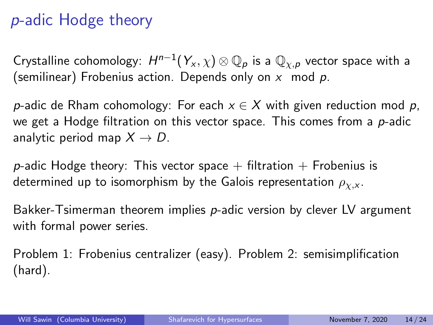## p-adic Hodge theory

Crystalline cohomology:  $H^{n-1}(Y_\mathsf{x}, \chi) \otimes \mathbb{Q}_p$  is a  $\mathbb{Q}_{\chi, p}$  vector space with a (semilinear) Frobenius action. Depends only on  $x \mod p$ .

p-adic de Rham cohomology: For each  $x \in X$  with given reduction mod p, we get a Hodge filtration on this vector space. This comes from a  $p$ -adic analytic period map  $X \rightarrow D$ .

p-adic Hodge theory: This vector space  $+$  filtration  $+$  Frobenius is determined up to isomorphism by the Galois representation  $\rho_{\chi,x}$ .

Bakker-Tsimerman theorem implies  $p$ -adic version by clever LV argument with formal power series.

Problem 1: Frobenius centralizer (easy). Problem 2: semisimplification (hard).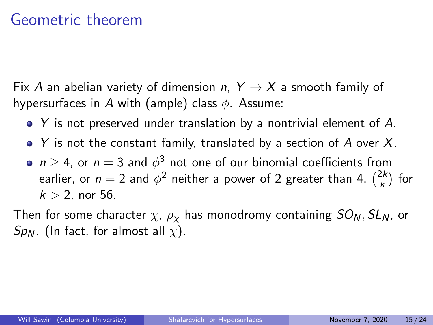#### Geometric theorem

Fix A an abelian variety of dimension n,  $Y \rightarrow X$  a smooth family of hypersurfaces in A with (ample) class  $\phi$ . Assume:

- Y is not preserved under translation by a nontrivial element of A.
- $\bullet$  Y is not the constant family, translated by a section of A over X.
- $n\geq 4$ , or  $n=3$  and  $\phi^3$  not one of our binomial coefficients from earlier, or  $n=2$  and  $\phi^2$  neither a power of 2 greater than 4,  $\binom{2k}{k}$  $\binom{2k}{k}$  for  $k > 2$ , nor 56.

Then for some character  $\chi$ ,  $\rho_{\chi}$  has monodromy containing  $SO_N, SL_N$ , or  $Sp_{N}$ . (In fact, for almost all  $\chi$ ).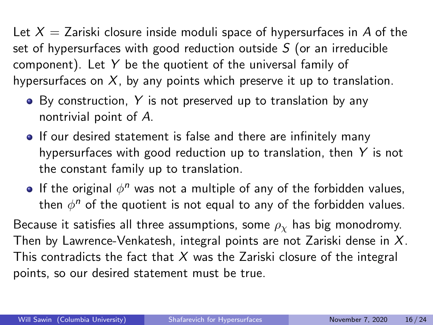Let  $X = Z$ ariski closure inside moduli space of hypersurfaces in A of the set of hypersurfaces with good reduction outside  $S$  (or an irreducible component). Let Y be the quotient of the universal family of hypersurfaces on  $X$ , by any points which preserve it up to translation.

- $\bullet$  By construction, Y is not preserved up to translation by any nontrivial point of A.
- If our desired statement is false and there are infinitely many hypersurfaces with good reduction up to translation, then Y is not the constant family up to translation.
- If the original  $\phi^n$  was not a multiple of any of the forbidden values, then  $\phi^n$  of the quotient is not equal to any of the forbidden values.

Because it satisfies all three assumptions, some  $\rho_{\chi}$  has big monodromy. Then by Lawrence-Venkatesh, integral points are not Zariski dense in  $X$ . This contradicts the fact that  $X$  was the Zariski closure of the integral points, so our desired statement must be true.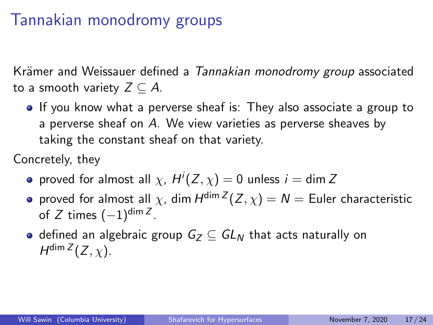## Tannakian monodromy groups

Krämer and Weissauer defined a Tannakian monodromy group associated to a smooth variety  $Z \subseteq A$ .

• If you know what a perverse sheaf is: They also associate a group to a perverse sheaf on A. We view varieties as perverse sheaves by taking the constant sheaf on that variety.

Concretely, they

- proved for almost all  $\chi$ ,  $H^i(Z, \chi) = 0$  unless  $i =$  dim Z
- proved for almost all  $\chi$ , dim  $H^{\dim Z}(Z,\chi)=N=$  Euler characteristic of  $Z$  times  $(-1)^{\mathsf{dim}\, Z}.$
- defined an algebraic group  $G_Z \subset GL_N$  that acts naturally on  $H^{\dim Z}(Z,\chi)$ .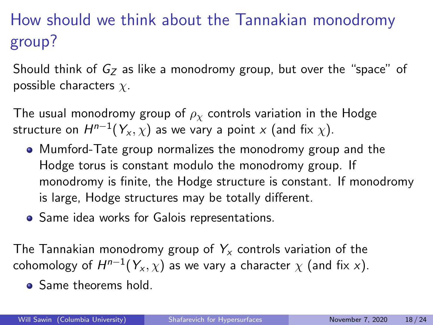# How should we think about the Tannakian monodromy group?

Should think of  $G_Z$  as like a monodromy group, but over the "space" of possible characters  $\chi$ .

The usual monodromy group of  $\rho_{\gamma}$  controls variation in the Hodge structure on  $H^{n-1}(Y_{\mathsf x},\chi)$  as we vary a point  ${\mathsf x}$  (and fix  $\chi).$ 

- Mumford-Tate group normalizes the monodromy group and the Hodge torus is constant modulo the monodromy group. If monodromy is finite, the Hodge structure is constant. If monodromy is large, Hodge structures may be totally different.
- Same idea works for Galois representations.

The Tannakian monodromy group of  $Y_{x}$  controls variation of the cohomology of  $H^{n-1}(Y_{\mathsf{x}},\chi)$  as we vary a character  $\chi$  (and fix  $\mathsf{x}).$ 

• Same theorems hold.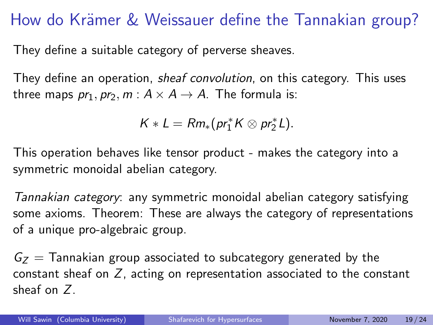### How do Krämer & Weissauer define the Tannakian group?

They define a suitable category of perverse sheaves.

They define an operation, *sheaf convolution*, on this category. This uses three maps  $pr_1, pr_2, m : A \times A \rightarrow A$ . The formula is:

$$
K*L=Rm_*(pr_1^*K\otimes pr_2^*L).
$$

This operation behaves like tensor product - makes the category into a symmetric monoidal abelian category.

Tannakian category: any symmetric monoidal abelian category satisfying some axioms. Theorem: These are always the category of representations of a unique pro-algebraic group.

 $G_{z}$  = Tannakian group associated to subcategory generated by the constant sheaf on  $Z$ , acting on representation associated to the constant sheaf on Z.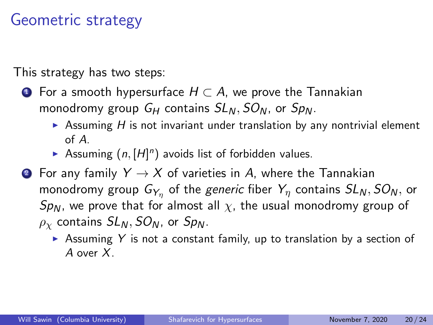### Geometric strategy

This strategy has two steps:

- $\bullet$  For a smooth hypersurface  $H \subset A$ , we prove the Tannakian monodromy group  $G_H$  contains  $SL_N$ ,  $SO_N$ , or  $Sp_N$ .
	- Assuming  $H$  is not invariant under translation by any nontrivial element of A.
	- Assuming  $(n, [H]^n)$  avoids list of forbidden values.
- **2** For any family  $Y \rightarrow X$  of varieties in A, where the Tannakian monodromy group  $G_{Y_\eta}$  of the *generic* fiber  $Y_\eta$  contains  $SL_N,SO_N,$  or Sp<sub>N</sub>, we prove that for almost all  $\chi$ , the usual monodromy group of  $\rho_{\rm v}$  contains  $SL_N$ ,  $SO_N$ , or  $Sp_N$ .
	- Assuming Y is not a constant family, up to translation by a section of A over X.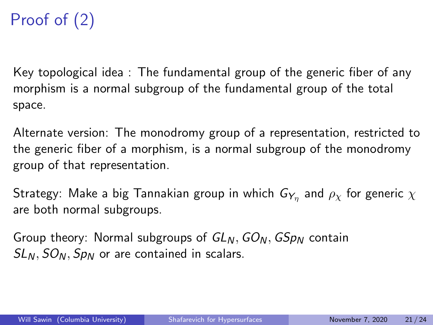# Proof of (2)

Key topological idea : The fundamental group of the generic fiber of any morphism is a normal subgroup of the fundamental group of the total space.

Alternate version: The monodromy group of a representation, restricted to the generic fiber of a morphism, is a normal subgroup of the monodromy group of that representation.

Strategy: Make a big Tannakian group in which  $\mathsf{G}_{\mathsf{Y}_\eta}$  and  $\rho_\chi$  for generic  $\chi$ are both normal subgroups.

Group theory: Normal subgroups of  $GL_N$ ,  $GO_N$ ,  $GSp_N$  contain  $SL_N$ ,  $SO_N$ ,  $Sp_N$  or are contained in scalars.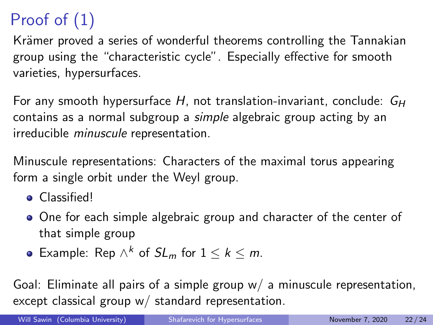# Proof of (1)

Krämer proved a series of wonderful theorems controlling the Tannakian group using the "characteristic cycle". Especially effective for smooth varieties, hypersurfaces.

For any smooth hypersurface H, not translation-invariant, conclude:  $G_H$ contains as a normal subgroup a simple algebraic group acting by an irreducible minuscule representation.

Minuscule representations: Characters of the maximal torus appearing form a single orbit under the Weyl group.

- **•** Classified!
- One for each simple algebraic group and character of the center of that simple group
- Example: Rep  $\wedge^k$  of  $SL_m$  for  $1 \leq k \leq m$ .

Goal: Eliminate all pairs of a simple group  $w/$  a minuscule representation, except classical group w/ standard representation.

Will Sawin (Columbia University) [Shafarevich for Hypersurfaces](#page-0-0) November 7, 2020 22/24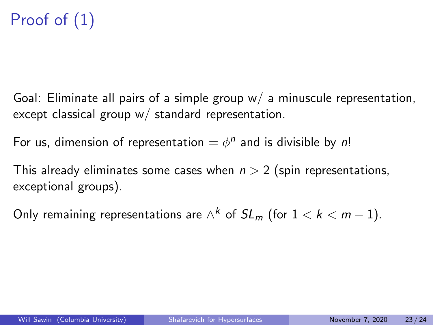# Proof of (1)

Goal: Eliminate all pairs of a simple group  $w/$  a minuscule representation, except classical group w/ standard representation.

For us, dimension of representation  $=\phi^n$  and is divisible by n!

This already eliminates some cases when  $n > 2$  (spin representations, exceptional groups).

Only remaining representations are  $\wedge^k$  of  $SL_m$  (for  $1 < k < m-1).$